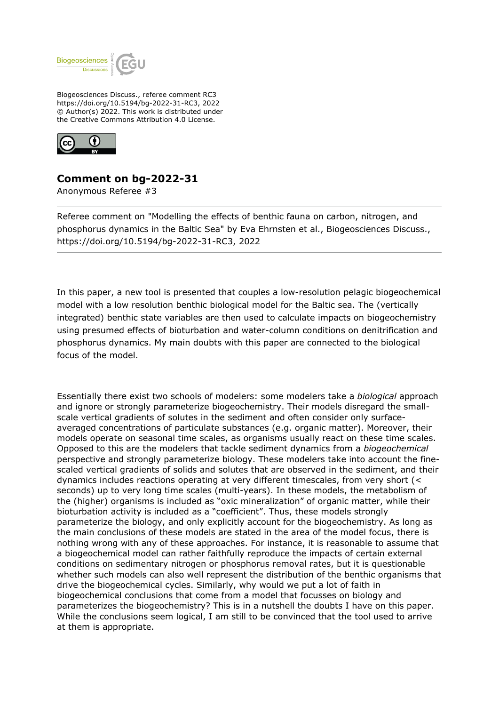

Biogeosciences Discuss., referee comment RC3 https://doi.org/10.5194/bg-2022-31-RC3, 2022 © Author(s) 2022. This work is distributed under the Creative Commons Attribution 4.0 License.



## **Comment on bg-2022-31**

Anonymous Referee #3

Referee comment on "Modelling the effects of benthic fauna on carbon, nitrogen, and phosphorus dynamics in the Baltic Sea" by Eva Ehrnsten et al., Biogeosciences Discuss., https://doi.org/10.5194/bg-2022-31-RC3, 2022

In this paper, a new tool is presented that couples a low-resolution pelagic biogeochemical model with a low resolution benthic biological model for the Baltic sea. The (vertically integrated) benthic state variables are then used to calculate impacts on biogeochemistry using presumed effects of bioturbation and water-column conditions on denitrification and phosphorus dynamics. My main doubts with this paper are connected to the biological focus of the model.

Essentially there exist two schools of modelers: some modelers take a *biological* approach and ignore or strongly parameterize biogeochemistry. Their models disregard the smallscale vertical gradients of solutes in the sediment and often consider only surfaceaveraged concentrations of particulate substances (e.g. organic matter). Moreover, their models operate on seasonal time scales, as organisms usually react on these time scales. Opposed to this are the modelers that tackle sediment dynamics from a *biogeochemical* perspective and strongly parameterize biology. These modelers take into account the finescaled vertical gradients of solids and solutes that are observed in the sediment, and their dynamics includes reactions operating at very different timescales, from very short (< seconds) up to very long time scales (multi-years). In these models, the metabolism of the (higher) organisms is included as "oxic mineralization" of organic matter, while their bioturbation activity is included as a "coefficient". Thus, these models strongly parameterize the biology, and only explicitly account for the biogeochemistry. As long as the main conclusions of these models are stated in the area of the model focus, there is nothing wrong with any of these approaches. For instance, it is reasonable to assume that a biogeochemical model can rather faithfully reproduce the impacts of certain external conditions on sedimentary nitrogen or phosphorus removal rates, but it is questionable whether such models can also well represent the distribution of the benthic organisms that drive the biogeochemical cycles. Similarly, why would we put a lot of faith in biogeochemical conclusions that come from a model that focusses on biology and parameterizes the biogeochemistry? This is in a nutshell the doubts I have on this paper. While the conclusions seem logical, I am still to be convinced that the tool used to arrive at them is appropriate.